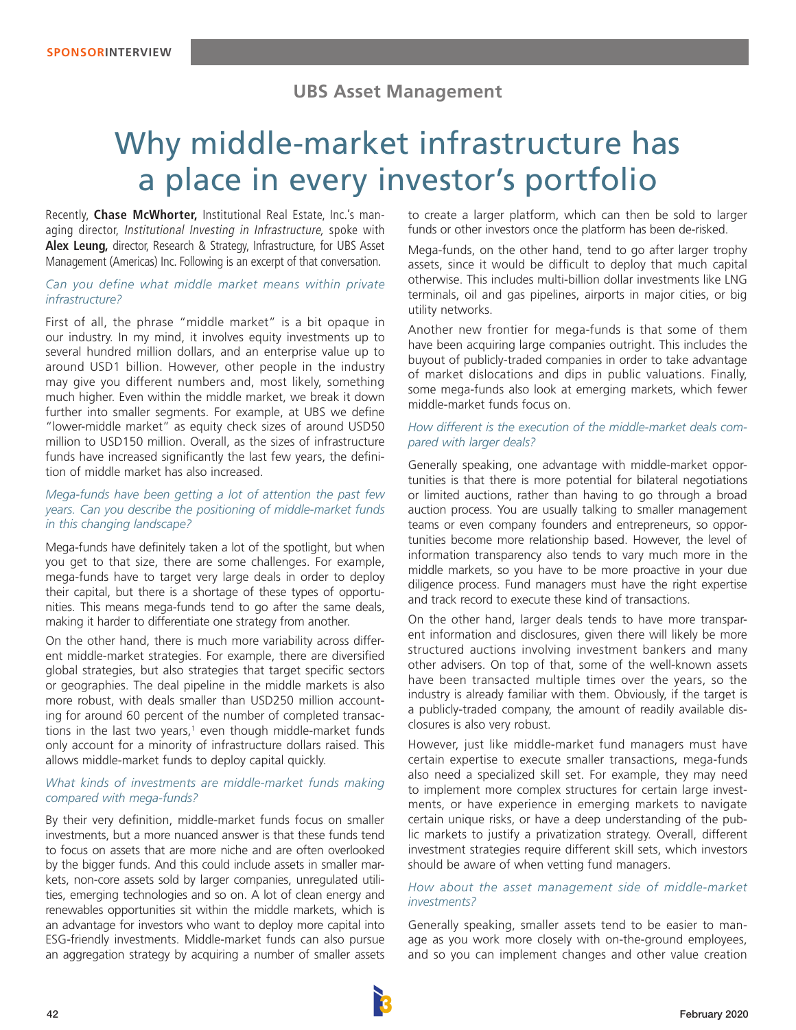# **UBS Asset Management**

# Why middle-market infrastructure has a place in every investor's portfolio

Recently, **Chase McWhorter,** Institutional Real Estate, Inc.'s managing director, Institutional Investing in Infrastructure, spoke with **Alex Leung,** director, Research & Strategy, Infrastructure, for UBS Asset Management (Americas) Inc. Following is an excerpt of that conversation.

#### *Can you define what middle market means within private infrastructure?*

First of all, the phrase "middle market" is a bit opaque in our industry. In my mind, it involves equity investments up to several hundred million dollars, and an enterprise value up to around USD1 billion. However, other people in the industry may give you different numbers and, most likely, something much higher. Even within the middle market, we break it down further into smaller segments. For example, at UBS we define "lower-middle market" as equity check sizes of around USD50 million to USD150 million. Overall, as the sizes of infrastructure funds have increased significantly the last few years, the definition of middle market has also increased.

#### *Mega-funds have been getting a lot of attention the past few years. Can you describe the positioning of middle-market funds in this changing landscape?*

Mega-funds have definitely taken a lot of the spotlight, but when you get to that size, there are some challenges. For example, mega-funds have to target very large deals in order to deploy their capital, but there is a shortage of these types of opportunities. This means mega-funds tend to go after the same deals, making it harder to differentiate one strategy from another.

On the other hand, there is much more variability across different middle-market strategies. For example, there are diversified global strategies, but also strategies that target specific sectors or geographies. The deal pipeline in the middle markets is also more robust, with deals smaller than USD250 million accounting for around 60 percent of the number of completed transactions in the last two years,<sup>1</sup> even though middle-market funds only account for a minority of infrastructure dollars raised. This allows middle-market funds to deploy capital quickly.

#### *What kinds of investments are middle-market funds making compared with mega-funds?*

By their very definition, middle-market funds focus on smaller investments, but a more nuanced answer is that these funds tend to focus on assets that are more niche and are often overlooked by the bigger funds. And this could include assets in smaller markets, non-core assets sold by larger companies, unregulated utilities, emerging technologies and so on. A lot of clean energy and renewables opportunities sit within the middle markets, which is an advantage for investors who want to deploy more capital into ESG-friendly investments. Middle-market funds can also pursue an aggregation strategy by acquiring a number of smaller assets

to create a larger platform, which can then be sold to larger funds or other investors once the platform has been de-risked.

Mega-funds, on the other hand, tend to go after larger trophy assets, since it would be difficult to deploy that much capital otherwise. This includes multi-billion dollar investments like LNG terminals, oil and gas pipelines, airports in major cities, or big utility networks.

Another new frontier for mega-funds is that some of them have been acquiring large companies outright. This includes the buyout of publicly-traded companies in order to take advantage of market dislocations and dips in public valuations. Finally, some mega-funds also look at emerging markets, which fewer middle-market funds focus on.

#### *How different is the execution of the middle-market deals compared with larger deals?*

Generally speaking, one advantage with middle-market opportunities is that there is more potential for bilateral negotiations or limited auctions, rather than having to go through a broad auction process. You are usually talking to smaller management teams or even company founders and entrepreneurs, so opportunities become more relationship based. However, the level of information transparency also tends to vary much more in the middle markets, so you have to be more proactive in your due diligence process. Fund managers must have the right expertise and track record to execute these kind of transactions.

On the other hand, larger deals tends to have more transparent information and disclosures, given there will likely be more structured auctions involving investment bankers and many other advisers. On top of that, some of the well-known assets have been transacted multiple times over the years, so the industry is already familiar with them. Obviously, if the target is a publicly-traded company, the amount of readily available disclosures is also very robust.

However, just like middle-market fund managers must have certain expertise to execute smaller transactions, mega-funds also need a specialized skill set. For example, they may need to implement more complex structures for certain large investments, or have experience in emerging markets to navigate certain unique risks, or have a deep understanding of the public markets to justify a privatization strategy. Overall, different investment strategies require different skill sets, which investors should be aware of when vetting fund managers.

#### *How about the asset management side of middle-market investments?*

Generally speaking, smaller assets tend to be easier to manage as you work more closely with on-the-ground employees, and so you can implement changes and other value creation